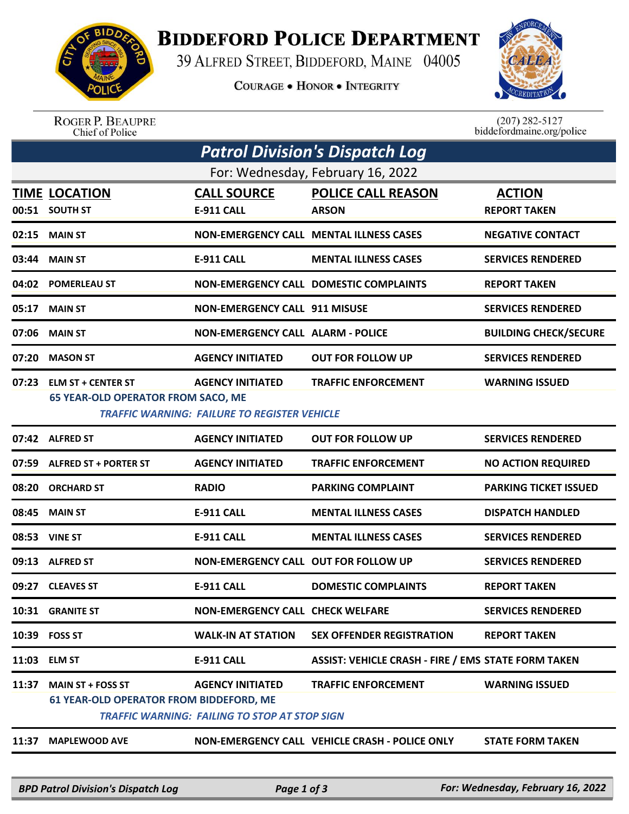

## **BIDDEFORD POLICE DEPARTMENT**

39 ALFRED STREET, BIDDEFORD, MAINE 04005

**COURAGE . HONOR . INTEGRITY** 



ROGER P. BEAUPRE<br>Chief of Police

 $(207)$  282-5127<br>biddefordmaine.org/police

| Patrol Division's Dispatch Log    |                                                                            |                                                                                 |                                                            |                                      |  |  |  |  |
|-----------------------------------|----------------------------------------------------------------------------|---------------------------------------------------------------------------------|------------------------------------------------------------|--------------------------------------|--|--|--|--|
| For: Wednesday, February 16, 2022 |                                                                            |                                                                                 |                                                            |                                      |  |  |  |  |
| 00:51                             | <b>TIME LOCATION</b><br><b>SOUTH ST</b>                                    | <b>CALL SOURCE</b><br><b>E-911 CALL</b>                                         | <b>POLICE CALL REASON</b><br><b>ARSON</b>                  | <b>ACTION</b><br><b>REPORT TAKEN</b> |  |  |  |  |
| 02:15                             | <b>MAIN ST</b>                                                             |                                                                                 | <b>NON-EMERGENCY CALL MENTAL ILLNESS CASES</b>             | <b>NEGATIVE CONTACT</b>              |  |  |  |  |
| 03:44                             | <b>MAIN ST</b>                                                             | E-911 CALL                                                                      | <b>MENTAL ILLNESS CASES</b>                                | <b>SERVICES RENDERED</b>             |  |  |  |  |
| 04:02                             | <b>POMERLEAU ST</b>                                                        |                                                                                 | <b>NON-EMERGENCY CALL DOMESTIC COMPLAINTS</b>              | <b>REPORT TAKEN</b>                  |  |  |  |  |
| 05:17                             | <b>MAIN ST</b>                                                             | <b>NON-EMERGENCY CALL 911 MISUSE</b>                                            |                                                            | <b>SERVICES RENDERED</b>             |  |  |  |  |
| 07:06                             | <b>MAIN ST</b>                                                             | <b>NON-EMERGENCY CALL ALARM - POLICE</b>                                        |                                                            | <b>BUILDING CHECK/SECURE</b>         |  |  |  |  |
| 07:20                             | <b>MASON ST</b>                                                            | <b>AGENCY INITIATED</b>                                                         | <b>OUT FOR FOLLOW UP</b>                                   | <b>SERVICES RENDERED</b>             |  |  |  |  |
| 07:23                             | <b>ELM ST + CENTER ST</b><br><b>65 YEAR-OLD OPERATOR FROM SACO, ME</b>     | <b>AGENCY INITIATED</b><br><b>TRAFFIC WARNING: FAILURE TO REGISTER VEHICLE</b>  | <b>TRAFFIC ENFORCEMENT</b>                                 | <b>WARNING ISSUED</b>                |  |  |  |  |
|                                   | 07:42 ALFRED ST                                                            | <b>AGENCY INITIATED</b>                                                         | <b>OUT FOR FOLLOW UP</b>                                   | <b>SERVICES RENDERED</b>             |  |  |  |  |
| 07:59                             | <b>ALFRED ST + PORTER ST</b>                                               | <b>AGENCY INITIATED</b>                                                         | <b>TRAFFIC ENFORCEMENT</b>                                 | <b>NO ACTION REQUIRED</b>            |  |  |  |  |
| 08:20                             | <b>ORCHARD ST</b>                                                          | <b>RADIO</b>                                                                    | <b>PARKING COMPLAINT</b>                                   | <b>PARKING TICKET ISSUED</b>         |  |  |  |  |
| 08:45                             | <b>MAIN ST</b>                                                             | <b>E-911 CALL</b>                                                               | <b>MENTAL ILLNESS CASES</b>                                | <b>DISPATCH HANDLED</b>              |  |  |  |  |
| 08:53                             | <b>VINE ST</b>                                                             | <b>E-911 CALL</b>                                                               | <b>MENTAL ILLNESS CASES</b>                                | <b>SERVICES RENDERED</b>             |  |  |  |  |
| 09:13                             | <b>ALFRED ST</b>                                                           | NON-EMERGENCY CALL OUT FOR FOLLOW UP                                            |                                                            | <b>SERVICES RENDERED</b>             |  |  |  |  |
| 09:27                             | <b>CLEAVES ST</b>                                                          | <b>E-911 CALL</b>                                                               | <b>DOMESTIC COMPLAINTS</b>                                 | <b>REPORT TAKEN</b>                  |  |  |  |  |
|                                   | 10:31 GRANITE ST                                                           | <b>NON-EMERGENCY CALL CHECK WELFARE</b>                                         |                                                            | <b>SERVICES RENDERED</b>             |  |  |  |  |
|                                   | 10:39 FOSS ST                                                              | <b>WALK-IN AT STATION</b>                                                       | <b>SEX OFFENDER REGISTRATION</b>                           | <b>REPORT TAKEN</b>                  |  |  |  |  |
| 11:03                             | <b>ELM ST</b>                                                              | E-911 CALL                                                                      | <b>ASSIST: VEHICLE CRASH - FIRE / EMS STATE FORM TAKEN</b> |                                      |  |  |  |  |
| 11:37                             | <b>MAIN ST + FOSS ST</b><br><b>61 YEAR-OLD OPERATOR FROM BIDDEFORD, ME</b> | <b>AGENCY INITIATED</b><br><b>TRAFFIC WARNING: FAILING TO STOP AT STOP SIGN</b> | <b>TRAFFIC ENFORCEMENT</b>                                 | <b>WARNING ISSUED</b>                |  |  |  |  |
| 11:37                             | <b>MAPLEWOOD AVE</b>                                                       |                                                                                 | NON-EMERGENCY CALL VEHICLE CRASH - POLICE ONLY             | <b>STATE FORM TAKEN</b>              |  |  |  |  |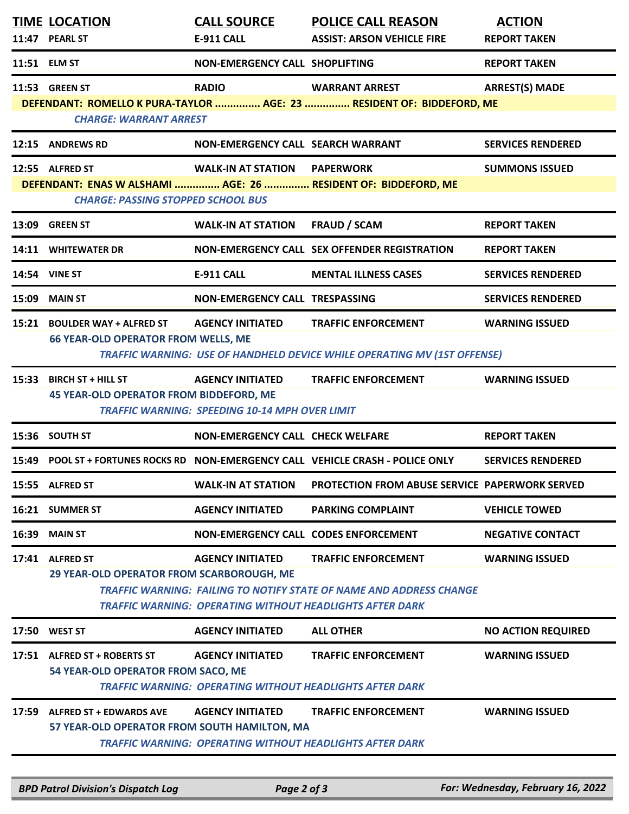|       | <b>TIME LOCATION</b><br>11:47 PEARL ST                                         | <b>CALL SOURCE</b><br><b>E-911 CALL</b>                                          | <b>POLICE CALL REASON</b><br><b>ASSIST: ARSON VEHICLE FIRE</b>                                                                                                       | <b>ACTION</b><br><b>REPORT TAKEN</b> |
|-------|--------------------------------------------------------------------------------|----------------------------------------------------------------------------------|----------------------------------------------------------------------------------------------------------------------------------------------------------------------|--------------------------------------|
|       | 11:51 ELM ST                                                                   | NON-EMERGENCY CALL SHOPLIFTING                                                   |                                                                                                                                                                      | <b>REPORT TAKEN</b>                  |
|       | 11:53 GREEN ST<br><b>CHARGE: WARRANT ARREST</b>                                | <b>RADIO</b>                                                                     | <b>WARRANT ARREST</b><br>DEFENDANT: ROMELLO K PURA-TAYLOR  AGE: 23  RESIDENT OF: BIDDEFORD, ME                                                                       | <b>ARREST(S) MADE</b>                |
|       | 12:15 ANDREWS RD                                                               | NON-EMERGENCY CALL SEARCH WARRANT                                                |                                                                                                                                                                      | <b>SERVICES RENDERED</b>             |
|       | 12:55 ALFRED ST<br><b>CHARGE: PASSING STOPPED SCHOOL BUS</b>                   | <b>WALK-IN AT STATION PAPERWORK</b>                                              | DEFENDANT: ENAS W ALSHAMI  AGE: 26  RESIDENT OF: BIDDEFORD, ME                                                                                                       | <b>SUMMONS ISSUED</b>                |
|       | 13:09 GREEN ST                                                                 | <b>WALK-IN AT STATION</b>                                                        | <b>FRAUD / SCAM</b>                                                                                                                                                  | <b>REPORT TAKEN</b>                  |
|       | 14:11 WHITEWATER DR                                                            |                                                                                  | NON-EMERGENCY CALL SEX OFFENDER REGISTRATION                                                                                                                         | <b>REPORT TAKEN</b>                  |
|       | 14:54 VINE ST                                                                  | <b>E-911 CALL</b>                                                                | <b>MENTAL ILLNESS CASES</b>                                                                                                                                          | <b>SERVICES RENDERED</b>             |
|       | <b>15:09 MAIN ST</b>                                                           | NON-EMERGENCY CALL TRESPASSING                                                   |                                                                                                                                                                      | <b>SERVICES RENDERED</b>             |
|       | 15:21 BOULDER WAY + ALFRED ST<br><b>66 YEAR-OLD OPERATOR FROM WELLS, ME</b>    | <b>AGENCY INITIATED</b>                                                          | <b>TRAFFIC ENFORCEMENT</b><br><b>TRAFFIC WARNING: USE OF HANDHELD DEVICE WHILE OPERATING MV (1ST OFFENSE)</b>                                                        | <b>WARNING ISSUED</b>                |
|       | 15:33 BIRCH ST + HILL ST<br><b>45 YEAR-OLD OPERATOR FROM BIDDEFORD, ME</b>     | <b>AGENCY INITIATED</b><br><b>TRAFFIC WARNING: SPEEDING 10-14 MPH OVER LIMIT</b> | <b>TRAFFIC ENFORCEMENT</b>                                                                                                                                           | <b>WARNING ISSUED</b>                |
|       | 15:36 SOUTH ST                                                                 | NON-EMERGENCY CALL CHECK WELFARE                                                 |                                                                                                                                                                      | <b>REPORT TAKEN</b>                  |
|       |                                                                                |                                                                                  | 15:49 POOL ST + FORTUNES ROCKS RD NON-EMERGENCY CALL VEHICLE CRASH - POLICE ONLY                                                                                     | <b>SERVICES RENDERED</b>             |
|       | 15:55 ALFRED ST                                                                | <b>WALK-IN AT STATION</b>                                                        | <b>PROTECTION FROM ABUSE SERVICE PAPERWORK SERVED</b>                                                                                                                |                                      |
|       | 16:21 SUMMER ST                                                                | <b>AGENCY INITIATED</b>                                                          | <b>PARKING COMPLAINT</b>                                                                                                                                             | <b>VEHICLE TOWED</b>                 |
| 16:39 | <b>MAIN ST</b>                                                                 | NON-EMERGENCY CALL CODES ENFORCEMENT                                             |                                                                                                                                                                      | <b>NEGATIVE CONTACT</b>              |
|       | 17:41 ALFRED ST<br>29 YEAR-OLD OPERATOR FROM SCARBOROUGH, ME                   | <b>AGENCY INITIATED</b>                                                          | <b>TRAFFIC ENFORCEMENT</b><br>TRAFFIC WARNING: FAILING TO NOTIFY STATE OF NAME AND ADDRESS CHANGE<br><b>TRAFFIC WARNING: OPERATING WITHOUT HEADLIGHTS AFTER DARK</b> | <b>WARNING ISSUED</b>                |
|       | 17:50 WEST ST                                                                  | <b>AGENCY INITIATED</b>                                                          | <b>ALL OTHER</b>                                                                                                                                                     | <b>NO ACTION REQUIRED</b>            |
|       | 17:51 ALFRED ST + ROBERTS ST<br>54 YEAR-OLD OPERATOR FROM SACO, ME             | <b>AGENCY INITIATED</b>                                                          | <b>TRAFFIC ENFORCEMENT</b><br><b>TRAFFIC WARNING: OPERATING WITHOUT HEADLIGHTS AFTER DARK</b>                                                                        | <b>WARNING ISSUED</b>                |
| 17:59 | <b>ALFRED ST + EDWARDS AVE</b><br>57 YEAR-OLD OPERATOR FROM SOUTH HAMILTON, MA | <b>AGENCY INITIATED</b>                                                          | <b>TRAFFIC ENFORCEMENT</b><br><b>TRAFFIC WARNING: OPERATING WITHOUT HEADLIGHTS AFTER DARK</b>                                                                        | <b>WARNING ISSUED</b>                |

*BPD Patrol Division's Dispatch Log Page 2 of 3 For: Wednesday, February 16, 2022*